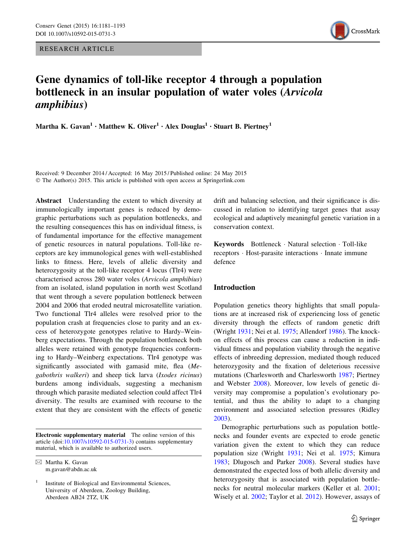RESEARCH ARTICLE



# Gene dynamics of toll-like receptor 4 through a population bottleneck in an insular population of water voles (Arvicola amphibius)

Martha K. Gavan<sup>1</sup> • Matthew K. Oliver<sup>1</sup> • Alex Douglas<sup>1</sup> • Stuart B. Piertney<sup>1</sup>

Received: 9 December 2014 / Accepted: 16 May 2015 / Published online: 24 May 2015 © The Author(s) 2015. This article is published with open access at Springerlink.com

Abstract Understanding the extent to which diversity at immunologically important genes is reduced by demographic perturbations such as population bottlenecks, and the resulting consequences this has on individual fitness, is of fundamental importance for the effective management of genetic resources in natural populations. Toll-like receptors are key immunological genes with well-established links to fitness. Here, levels of allelic diversity and heterozygosity at the toll-like receptor 4 locus (Tlr4) were characterised across 280 water voles (Arvicola amphibius) from an isolated, island population in north west Scotland that went through a severe population bottleneck between 2004 and 2006 that eroded neutral microsatellite variation. Two functional Tlr4 alleles were resolved prior to the population crash at frequencies close to parity and an excess of heterozygote genotypes relative to Hardy–Weinberg expectations. Through the population bottleneck both alleles were retained with genotype frequencies conforming to Hardy–Weinberg expectations. Tlr4 genotype was significantly associated with gamasid mite, flea (Megabothris walkeri) and sheep tick larva (Ixodes ricinus) burdens among individuals, suggesting a mechanism through which parasite mediated selection could affect Tlr4 diversity. The results are examined with recourse to the extent that they are consistent with the effects of genetic

Electronic supplementary material The online version of this article (doi:[10.1007/s10592-015-0731-3\)](http://dx.doi.org/10.1007/s10592-015-0731-3) contains supplementary material, which is available to authorized users.

 $\boxtimes$  Martha K. Gavan m.gavan@abdn.ac.uk drift and balancing selection, and their significance is discussed in relation to identifying target genes that assay ecological and adaptively meaningful genetic variation in a conservation context.

Keywords Bottleneck - Natural selection - Toll-like receptors - Host-parasite interactions - Innate immune defence

#### Introduction

Population genetics theory highlights that small populations are at increased risk of experiencing loss of genetic diversity through the effects of random genetic drift (Wright [1931](#page-12-0); Nei et al. [1975;](#page-11-0) Allendorf [1986](#page-10-0)). The knockon effects of this process can cause a reduction in individual fitness and population viability through the negative effects of inbreeding depression, mediated though reduced heterozygosity and the fixation of deleterious recessive mutations (Charlesworth and Charlesworth [1987;](#page-11-0) Piertney and Webster [2008\)](#page-12-0). Moreover, low levels of genetic diversity may compromise a population's evolutionary potential, and thus the ability to adapt to a changing environment and associated selection pressures (Ridley [2003](#page-12-0)).

Demographic perturbations such as population bottlenecks and founder events are expected to erode genetic variation given the extent to which they can reduce population size (Wright [1931](#page-12-0); Nei et al. [1975;](#page-11-0) Kimura [1983](#page-11-0); Dlugosch and Parker [2008](#page-11-0)). Several studies have demonstrated the expected loss of both allelic diversity and heterozygosity that is associated with population bottlenecks for neutral molecular markers (Keller et al. [2001](#page-11-0); Wisely et al. [2002;](#page-12-0) Taylor et al. [2012](#page-12-0)). However, assays of

Institute of Biological and Environmental Sciences, University of Aberdeen, Zoology Building, Aberdeen AB24 2TZ, UK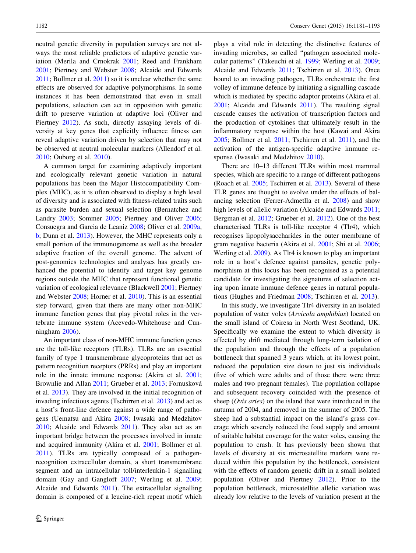neutral genetic diversity in population surveys are not always the most reliable predictors of adaptive genetic variation (Merila and Crnokrak [2001;](#page-11-0) Reed and Frankham [2001;](#page-12-0) Piertney and Webster [2008;](#page-12-0) Alcaide and Edwards [2011;](#page-10-0) Bollmer et al. [2011](#page-11-0)) so it is unclear whether the same effects are observed for adaptive polymorphisms. In some instances it has been demonstrated that even in small populations, selection can act in opposition with genetic drift to preserve variation at adaptive loci (Oliver and Piertney [2012](#page-11-0)). As such, directly assaying levels of diversity at key genes that explicitly influence fitness can reveal adaptive variation driven by selection that may not be observed at neutral molecular markers (Allendorf et al. [2010;](#page-10-0) Ouborg et al. [2010\)](#page-11-0).

A common target for examining adaptively important and ecologically relevant genetic variation in natural populations has been the Major Histocompatibility Complex (MHC), as it is often observed to display a high level of diversity and is associated with fitness-related traits such as parasite burden and sexual selection (Bernatchez and Landry [2003;](#page-10-0) Sommer [2005;](#page-12-0) Piertney and Oliver [2006](#page-12-0); Consuegra and Garcia de Leaniz [2008;](#page-11-0) Oliver et al. [2009a,](#page-11-0) [b](#page-11-0); Dunn et al. [2013](#page-11-0)). However, the MHC represents only a small portion of the immunogenome as well as the broader adaptive fraction of the overall genome. The advent of post-genomics technologies and analyses has greatly enhanced the potential to identify and target key genome regions outside the MHC that represent functional genetic variation of ecological relevance (Blackwell [2001;](#page-10-0) Piertney and Webster [2008](#page-12-0); Horner et al. [2010\)](#page-11-0). This is an essential step forward, given that there are many other non-MHC immune function genes that play pivotal roles in the vertebrate immune system (Acevedo-Whitehouse and Cunningham [2006](#page-10-0)).

An important class of non-MHC immune function genes are the toll-like receptors (TLRs). TLRs are an essential family of type 1 transmembrane glycoproteins that act as pattern recognition receptors (PRRs) and play an important role in the innate immune response (Akira et al. [2001](#page-10-0); Brownlie and Allan [2011](#page-11-0); Grueber et al. [2013;](#page-11-0) Fornusková et al. [2013](#page-11-0)). They are involved in the initial recognition of invading infectious agents (Tschirren et al. [2013](#page-12-0)) and act as a host's front-line defence against a wide range of pathogens (Uematsu and Akira [2008;](#page-12-0) Iwasaki and Medzhitov [2010;](#page-11-0) Alcaide and Edwards [2011](#page-10-0)). They also act as an important bridge between the processes involved in innate and acquired immunity (Akira et al. [2001;](#page-10-0) Bollmer et al. [2011\)](#page-11-0). TLRs are typically composed of a pathogenrecognition extracellular domain, a short transmembrane segment and an intracellular toll/interleukin-1 signalling domain (Gay and Gangloff [2007;](#page-11-0) Werling et al. [2009](#page-12-0); Alcaide and Edwards [2011\)](#page-10-0). The extracellular signalling domain is composed of a leucine-rich repeat motif which plays a vital role in detecting the distinctive features of invading microbes, so called ''pathogen associated molecular patterns'' (Takeuchi et al. [1999](#page-12-0); Werling et al. [2009](#page-12-0); Alcaide and Edwards [2011;](#page-10-0) Tschirren et al. [2013](#page-12-0)). Once bound to an invading pathogen, TLRs orchestrate the first volley of immune defence by initiating a signalling cascade which is mediated by specific adaptor proteins (Akira et al. [2001](#page-10-0); Alcaide and Edwards [2011](#page-10-0)). The resulting signal cascade causes the activation of transcription factors and the production of cytokines that ultimately result in the inflammatory response within the host (Kawai and Akira [2005](#page-11-0); Bollmer et al. [2011;](#page-11-0) Tschirren et al. [2011\)](#page-12-0), and the activation of the antigen-specific adaptive immune response (Iwasaki and Medzhitov [2010\)](#page-11-0).

There are 10–13 different TLRs within most mammal species, which are specific to a range of different pathogens (Roach et al. [2005;](#page-12-0) Tschirren et al. [2013\)](#page-12-0). Several of these TLR genes are thought to evolve under the effects of balancing selection (Ferrer-Admetlla et al. [2008](#page-11-0)) and show high levels of allelic variation (Alcaide and Edwards [2011](#page-10-0); Bergman et al. [2012;](#page-10-0) Grueber et al. [2012](#page-11-0)). One of the best characterised TLRs is toll-like receptor 4 (Tlr4), which recognises lipopolysaccharides in the outer membrane of gram negative bacteria (Akira et al. [2001](#page-10-0); Shi et al. [2006](#page-12-0); Werling et al. [2009](#page-12-0)). As Tlr4 is known to play an important role in a host's defence against parasites, genetic polymorphism at this locus has been recognised as a potential candidate for investigating the signatures of selection acting upon innate immune defence genes in natural populations (Hughes and Friedman [2008](#page-11-0); Tschirren et al. [2013\)](#page-12-0).

In this study, we investigate Tlr4 diversity in an isolated population of water voles (Arvicola amphibius) located on the small island of Coiresa in North West Scotland, UK. Specifically we examine the extent to which diversity is affected by drift mediated through long-term isolation of the population and through the effects of a population bottleneck that spanned 3 years which, at its lowest point, reduced the population size down to just six individuals (five of which were adults and of those there were three males and two pregnant females). The population collapse and subsequent recovery coincided with the presence of sheep (*Ovis aries*) on the island that were introduced in the autumn of 2004, and removed in the summer of 2005. The sheep had a substantial impact on the island's grass coverage which severely reduced the food supply and amount of suitable habitat coverage for the water voles, causing the population to crash. It has previously been shown that levels of diversity at six microsatellite markers were reduced within this population by the bottleneck, consistent with the effects of random genetic drift in a small isolated population (Oliver and Piertney [2012\)](#page-11-0). Prior to the population bottleneck, microsatellite allelic variation was already low relative to the levels of variation present at the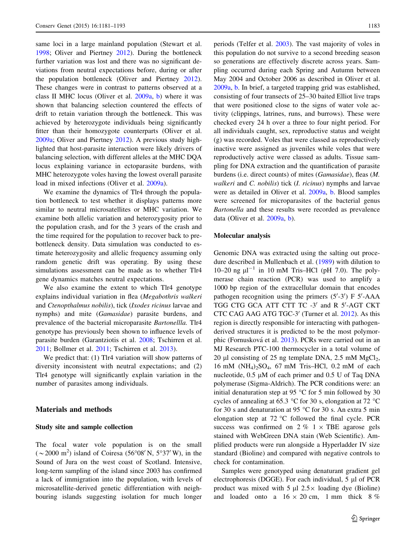same loci in a large mainland population (Stewart et al. [1998;](#page-12-0) Oliver and Piertney [2012](#page-11-0)). During the bottleneck further variation was lost and there was no significant deviations from neutral expectations before, during or after the population bottleneck (Oliver and Piertney [2012](#page-11-0)). These changes were in contrast to patterns observed at a class II MHC locus (Oliver et al. [2009a,](#page-11-0) [b\)](#page-11-0) where it was shown that balancing selection countered the effects of drift to retain variation through the bottleneck. This was achieved by heterozygote individuals being significantly fitter than their homozygote counterparts (Oliver et al. [2009a](#page-11-0); Oliver and Piertney [2012](#page-11-0)). A previous study highlighted that host-parasite interaction were likely drivers of balancing selection, with different alleles at the MHC DQA locus explaining variance in ectoparasite burdens, with MHC heterozygote voles having the lowest overall parasite load in mixed infections (Oliver et al. [2009a](#page-11-0)).

We examine the dynamics of Tlr4 through the population bottleneck to test whether it displays patterns more similar to neutral microsatellites or MHC variation. We examine both allelic variation and heterozygosity prior to the population crash, and for the 3 years of the crash and the time required for the population to recover back to prebottleneck density. Data simulation was conducted to estimate heterozygosity and allelic frequency assuming only random genetic drift was operating. By using these simulations assessment can be made as to whether Tlr4 gene dynamics matches neutral expectations.

We also examine the extent to which Tlr4 genotype explains individual variation in flea (Megabothris walkeri and Ctenopthalmus nobilis), tick (Ixodes ricinus larvae and nymphs) and mite (Gamasidae) parasite burdens, and prevalence of the bacterial microparasite Bartonellla. Tlr4 genotype has previously been shown to influence levels of parasite burden (Garantziotis et al. [2008](#page-11-0); Tschirren et al. [2011;](#page-12-0) Bollmer et al. [2011;](#page-11-0) Tschirren et al. [2013](#page-12-0)).

We predict that: (1) Tlr4 variation will show patterns of diversity inconsistent with neutral expectations; and (2) Tlr4 genotype will significantly explain variation in the number of parasites among individuals.

#### Materials and methods

#### Study site and sample collection

The focal water vole population is on the small  $({\sim}2000 \text{ m}^2)$  island of Coiresa (56°08' N, 5°37' W), in the Sound of Jura on the west coast of Scotland. Intensive, long-term sampling of the island since 2003 has confirmed a lack of immigration into the population, with levels of microsatellite-derived genetic differentiation with neighbouring islands suggesting isolation for much longer periods (Telfer et al. [2003](#page-12-0)). The vast majority of voles in this population do not survive to a second breeding season so generations are effectively discrete across years. Sampling occurred during each Spring and Autumn between May 2004 and October 2006 as described in Oliver et al. [2009a,](#page-11-0) [b.](#page-11-0) In brief, a targeted trapping grid was established, consisting of four transects of 25–30 baited Elliot live traps that were positioned close to the signs of water vole activity (clippings, latrines, runs, and burrows). These were checked every 24 h over a three to four night period. For all individuals caught, sex, reproductive status and weight (g) was recorded. Voles that were classed as reproductively inactive were assigned as juveniles while voles that were reproductively active were classed as adults. Tissue sampling for DNA extraction and the quantification of parasite burdens (i.e. direct counts) of mites (Gamasidae), fleas (M. walkeri and C. nobilis) tick (I. ricinus) nymphs and larvae were as detailed in Oliver et al. [2009a](#page-11-0), [b.](#page-11-0) Blood samples were screened for microparasites of the bacterial genus Bartonella and these results were recorded as prevalence data (Oliver et al. [2009a,](#page-11-0) [b](#page-11-0)).

## Molecular analysis

Genomic DNA was extracted using the salting out procedure described in Mullenbach et al. ([1989\)](#page-11-0) with dilution to 10–20 ng  $\mu$ l<sup>-1</sup> in 10 mM Tris–HCl (pH 7.0). The polymerase chain reaction (PCR) was used to amplify a 1000 bp region of the extracellular domain that encodes pathogen recognition using the primers  $(5' - 3')$  F  $5'$ -AAA TGG CTG GCA ATT CTT TC -3' and R 5'-AGT CKT CTC CAG AAG ATG TGC-3' (Turner et al. [2012\)](#page-12-0). As this region is directly responsible for interacting with pathogenderived structures it is predicted to be the most polymor-phic (Fornusková et al. [2013\)](#page-11-0). PCRs were carried out in an MJ Research PTC-100 thermocycler in a total volume of 20 µl consisting of 25 ng template DNA, 2.5 mM  $MgCl<sub>2</sub>$ , 16 mM  $(NH_4)_2SO_4$ , 67 mM Tris–HCl, 0.2 mM of each nucleotide,  $0.5 \mu M$  of each primer and  $0.5 \text{ U}$  of Taq DNA polymerase (Sigma-Aldrich). The PCR conditions were: an initial denaturation step at 95  $\degree$ C for 5 min followed by 30 cycles of annealing at 65.3 °C for 30 s, elongation at 72 °C for 30 s and denaturation at 95 °C for 30 s. An extra 5 min elongation step at  $72 °C$  followed the final cycle. PCR success was confirmed on  $2\%$  1  $\times$  TBE agarose gels stained with WebGreen DNA stain (Web Scientific). Amplified products were run alongside a Hyperladder IV size standard (Bioline) and compared with negative controls to check for contamination.

Samples were genotyped using denaturant gradient gel electrophoresis (DGGE). For each individual,  $5 \mu l$  of PCR product was mixed with 5  $\mu$ l 2.5 $\times$  loading dye (Bioline) and loaded onto a  $16 \times 20$  cm, 1 mm thick 8 %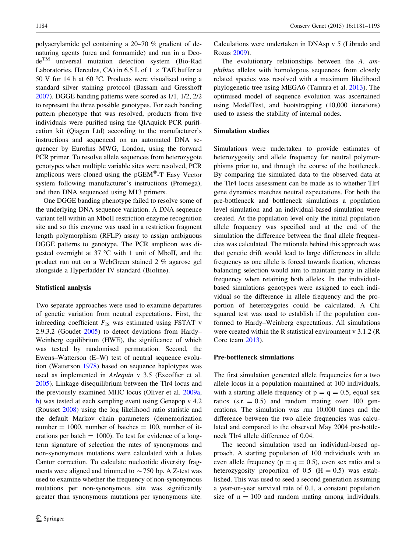polyacrylamide gel containing a 20–70 % gradient of denaturing agents (urea and formamide) and run in a DcodeTM universal mutation detection system (Bio-Rad Laboratories, Hercules, CA) in 6.5 L of  $1 \times$  TAE buffer at 50 V for 14 h at 60  $^{\circ}$ C. Products were visualised using a standard silver staining protocol (Bassam and Gresshoff [2007\)](#page-10-0). DGGE banding patterns were scored as 1/1, 1/2, 2/2 to represent the three possible genotypes. For each banding pattern phenotype that was resolved, products from five individuals were purified using the QIAquick PCR purification kit (Qiagen Ltd) according to the manufacturer's instructions and sequenced on an automated DNA sequencer by Eurofins MWG, London, using the forward PCR primer. To resolve allele sequences from heterozygote genotypes when multiple variable sites were resolved, PCR amplicons were cloned using the  $pGEM^{\otimes}-T$  Easy Vector system following manufacturer's instructions (Promega), and then DNA sequenced using M13 primers.

One DGGE banding phenotype failed to resolve some of the underlying DNA sequence variation. A DNA sequence variant fell within an MboII restriction enzyme recognition site and so this enzyme was used in a restriction fragment length polymorphism (RFLP) assay to assign ambiguous DGGE patterns to genotype. The PCR amplicon was digested overnight at 37  $\degree$ C with 1 unit of MboII, and the product run out on a WebGreen stained 2 % agarose gel alongside a Hyperladder IV standard (Bioline).

# Statistical analysis

Two separate approaches were used to examine departures of genetic variation from neutral expectations. First, the inbreeding coefficient  $F_{IS}$  was estimated using FSTAT v 2.9.3.2 (Goudet [2005](#page-11-0)) to detect deviations from Hardy– Weinberg equilibrium (HWE), the significance of which was tested by randomised permutation. Second, the Ewens–Watterson (E–W) test of neutral sequence evolution (Watterson [1978\)](#page-12-0) based on sequence haplotypes was used as implemented in Arlequin v 3.5 (Excoffier et al. [2005\)](#page-11-0). Linkage disequilibrium between the Tlr4 locus and the previously examined MHC locus (Oliver et al. [2009a,](#page-11-0) [b](#page-11-0)) was tested at each sampling event using Genepop v 4.2 (Rousset [2008\)](#page-12-0) using the log likelihood ratio statistic and the default Markov chain parameters (dememorization number  $= 1000$ , number of batches  $= 100$ , number of iterations per batch  $= 1000$ ). To test for evidence of a longterm signature of selection the rates of synonymous and non-synonymous mutations were calculated with a Jukes Cantor correction. To calculate nucleotide diversity fragments were aligned and trimmed to  $\sim$  750 bp. A Z-test was used to examine whether the frequency of non-synonymous mutations per non-synonymous site was significantly greater than synonymous mutations per synonymous site. Calculations were undertaken in DNAsp v 5 (Librado and Rozas [2009\)](#page-11-0).

The evolutionary relationships between the A. amphibius alleles with homologous sequences from closely related species was resolved with a maximum likelihood phylogenetic tree using MEGA6 (Tamura et al. [2013](#page-12-0)). The optimised model of sequence evolution was ascertained using ModelTest, and bootstrapping (10,000 iterations) used to assess the stability of internal nodes.

## Simulation studies

Simulations were undertaken to provide estimates of heterozygosity and allele frequency for neutral polymorphisms prior to, and through the course of the bottleneck. By comparing the simulated data to the observed data at the Tlr4 locus assessment can be made as to whether Tlr4 gene dynamics matches neutral expectations. For both the pre-bottleneck and bottleneck simulations a population level simulation and an individual-based simulation were created. At the population level only the initial population allele frequency was specified and at the end of the simulation the difference between the final allele frequencies was calculated. The rationale behind this approach was that genetic drift would lead to large differences in allele frequency as one allele is forced towards fixation, whereas balancing selection would aim to maintain parity in allele frequency when retaining both alleles. In the individualbased simulations genotypes were assigned to each individual so the difference in allele frequency and the proportion of heterozygotes could be calculated. A Chi squared test was used to establish if the population conformed to Hardy–Weinberg expectations. All simulations were created within the R statistical environment v 3.1.2 (R Core team [2013\)](#page-12-0).

#### Pre-bottleneck simulations

The first simulation generated allele frequencies for a two allele locus in a population maintained at 100 individuals, with a starting allele frequency of  $p = q = 0.5$ , equal sex ratios (s.r.  $= 0.5$ ) and random mating over 100 generations. The simulation was run 10,000 times and the difference between the two allele frequencies was calculated and compared to the observed May 2004 pre-bottleneck Tlr4 allele difference of 0.04.

The second simulation used an individual-based approach. A starting population of 100 individuals with an even allele frequency ( $p = q = 0.5$ ), even sex ratio and a heterozygosity proportion of  $0.5$  (H = 0.5) was established. This was used to seed a second generation assuming a year-on-year survival rate of 0.1, a constant population size of  $n = 100$  and random mating among individuals.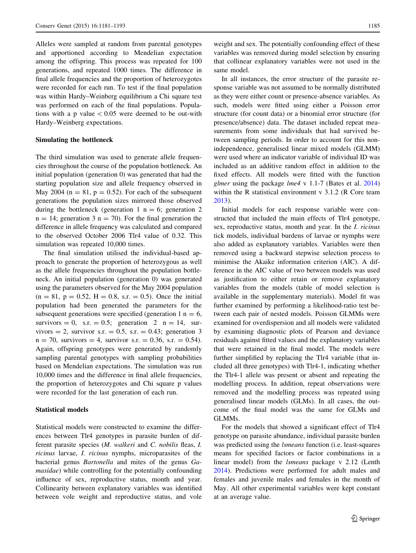Alleles were sampled at random from parental genotypes and apportioned according to Mendelian expectation among the offspring. This process was repeated for 100 generations, and repeated 1000 times. The difference in final allele frequencies and the proportion of heterozygotes were recorded for each run. To test if the final population was within Hardy–Weinberg equilibrium a Chi square test was performed on each of the final populations. Populations with a p value  $< 0.05$  were deemed to be out-with Hardy–Weinberg expectations.

## Simulating the bottleneck

The third simulation was used to generate allele frequencies throughout the course of the population bottleneck. An initial population (generation 0) was generated that had the starting population size and allele frequency observed in May 2004 ( $n = 81$ ,  $p = 0.52$ ). For each of the subsequent generations the population sizes mirrored those observed during the bottleneck (generation 1  $n = 6$ ; generation 2  $n = 14$ ; generation 3  $n = 70$ ). For the final generation the difference in allele frequency was calculated and compared to the observed October 2006 Tlr4 value of 0.32. This simulation was repeated 10,000 times.

The final simulation utilised the individual-based approach to generate the proportion of heterozygous as well as the allele frequencies throughout the population bottleneck. An initial population (generation 0) was generated using the parameters observed for the May 2004 population  $(n = 81, p = 0.52, H = 0.8, s.r. = 0.5)$ . Once the initial population had been generated the parameters for the subsequent generations were specified (generation  $1 n = 6$ , survivors = 0, s.r. = 0.5; generation 2  $n = 14$ , survivors = 2, survivor s.r. = 0.5, s.r. = 0.43; generation 3  $n = 70$ , survivors = 4, survivor s.r. = 0.36, s.r. = 0.54). Again, offspring genotypes were generated by randomly sampling parental genotypes with sampling probabilities based on Mendelian expectations. The simulation was run 10,000 times and the difference in final allele frequencies, the proportion of heterozygotes and Chi square p values were recorded for the last generation of each run.

## Statistical models

Statistical models were constructed to examine the differences between Tlr4 genotypes in parasite burden of different parasite species (M. walkeri and C. nobilis fleas, I. ricinus larvae, I. ricinus nymphs, microparasites of the bacterial genus Bartonella and mites of the genus Gamasidae) while controlling for the potentially confounding influence of sex, reproductive status, month and year. Collinearity between explanatory variables was identified between vole weight and reproductive status, and vole

weight and sex. The potentially confounding effect of these variables was removed during model selection by ensuring that collinear explanatory variables were not used in the same model.

In all instances, the error structure of the parasite response variable was not assumed to be normally distributed as they were either count or presence-absence variables. As such, models were fitted using either a Poisson error structure (for count data) or a binomial error structure (for presence/absence) data. The dataset included repeat measurements from some individuals that had survived between sampling periods. In order to account for this nonindependence, generalised linear mixed models (GLMM) were used where an indicator variable of individual ID was included as an additive random effect in addition to the fixed effects. All models were fitted with the function glmer using the package  $l$ me4 v 1.1-7 (Bates et al. [2014\)](#page-10-0) within the R statistical environment v 3.1.2 (R Core team [2013](#page-12-0)).

Initial models for each response variable were constructed that included the main effects of Tlr4 genotype, sex, reproductive status, month and year. In the *I. ricinus* tick models, individual burdens of larvae or nymphs were also added as explanatory variables. Variables were then removed using a backward stepwise selection process to minimise the Akaike information criterion (AIC). A difference in the AIC value of two between models was used as justification to either retain or remove explanatory variables from the models (table of model selection is available in the supplementary materials). Model fit was further examined by performing a likelihood-ratio test between each pair of nested models. Poisson GLMMs were examined for overdispersion and all models were validated by examining diagnostic plots of Pearson and deviance residuals against fitted values and the explanatory variables that were retained in the final model. The models were further simplified by replacing the Tlr4 variable (that included all three genotypes) with Tlr4-1, indicating whether the Tlr4-1 allele was present or absent and repeating the modelling process. In addition, repeat observations were removed and the modelling process was repeated using generalised linear models (GLMs). In all cases, the outcome of the final model was the same for GLMs and GLMMs.

For the models that showed a significant effect of Tlr4 genotype on parasite abundance, individual parasite burden was predicted using the lsmeans function (i.e. least-squares means for specified factors or factor combinations in a linear model) from the lsmeans package v 2.12 (Lenth [2014](#page-11-0)). Predictions were performed for adult males and females and juvenile males and females in the month of May. All other experimental variables were kept constant at an average value.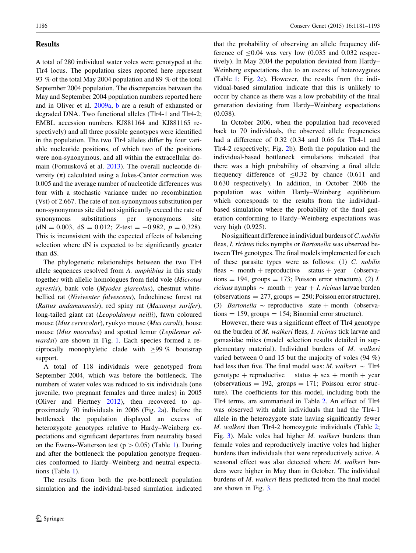## **Results**

A total of 280 individual water voles were genotyped at the Tlr4 locus. The population sizes reported here represent 93 % of the total May 2004 population and 89 % of the total September 2004 population. The discrepancies between the May and September 2004 population numbers reported here and in Oliver et al. [2009a](#page-11-0), [b](#page-11-0) are a result of exhausted or degraded DNA. Two functional alleles (Tlr4-1 and Tlr4-2; EMBL accession numbers KJ881164 and KJ881165 respectively) and all three possible genotypes were identified in the population. The two Tlr4 alleles differ by four variable nucleotide positions, of which two of the positions were non-synonymous, and all within the extracellular do-main (Fornusková et al. [2013\)](#page-11-0). The overall nucleotide diversity  $(\pi)$  calculated using a Jukes-Cantor correction was 0.005 and the average number of nucleotide differences was four with a stochastic variance under no recombination (Vst) of 2.667. The rate of non-synonymous substitution per non-synonymous site did not significantly exceed the rate of synonymous substitutions per synonymous site  $(dN = 0.003, dS = 0.012; Z-test = -0.982, p = 0.328).$ This is inconsistent with the expected effects of balancing selection where dN is expected to be significantly greater than dS.

The phylogenetic relationships between the two Tlr4 allele sequences resolved from A. amphibius in this study together with allelic homologues from field vole (Microtus agrestis), bank vole (Myodes glareolus), chestnut whitebellied rat (Niviventer fulvescens), Indochinese forest rat (Rattus andamanensis), red spiny rat (Maxomys surifer), long-tailed giant rat (Leopoldamys neilli), fawn coloured mouse (Mus cervicolor), ryukyo mouse (Mus caroli), house mouse (Mus musculus) and spotted lemur (Lepilemur ed-wardsi) are shown in Fig. [1](#page-6-0). Each species formed a reciprocally monophyletic clade with  $\geq 99 \%$  bootstrap support.

A total of 118 individuals were genotyped from September 2004, which was before the bottleneck. The numbers of water voles was reduced to six individuals (one juvenile, two pregnant females and three males) in 2005 (Oliver and Piertney [2012\)](#page-11-0), then recovered to approximately 70 individuals in 2006 (Fig. [2a](#page-7-0)). Before the bottleneck the population displayed an excess of heterozygote genotypes relative to Hardy–Weinberg expectations and significant departures from neutrality based on the Ewens–Watterson test ( $p > 0.05$ ) (Table [1](#page-7-0)). During and after the bottleneck the population genotype frequencies conformed to Hardy–Weinberg and neutral expectations (Table [1](#page-7-0)).

The results from both the pre-bottleneck population simulation and the individual-based simulation indicated

that the probability of observing an allele frequency difference of  $\leq 0.04$  was very low (0.035 and 0.032 respectively). In May 2004 the population deviated from Hardy– Weinberg expectations due to an excess of heterozygotes (Table [1;](#page-7-0) Fig. [2c](#page-7-0)). However, the results from the individual-based simulation indicate that this is unlikely to occur by chance as there was a low probability of the final generation deviating from Hardy–Weinberg expectations (0.038).

In October 2006, when the population had recovered back to 70 individuals, the observed allele frequencies had a difference of 0.32 (0.34 and 0.66 for Tlr4-1 and Tlr4-2 respectively; Fig. [2](#page-7-0)b). Both the population and the individual-based bottleneck simulations indicated that there was a high probability of observing a final allele frequency difference of  $\leq 0.32$  by chance (0.611 and 0.630 respectively). In addition, in October 2006 the population was within Hardy–Weinberg equilibrium which corresponds to the results from the individualbased simulation where the probability of the final generation conforming to Hardy–Weinberg expectations was very high (0.925).

No significant difference in individual burdens of  $C$ . *nobilis* fleas, *I. ricinus* ticks nymphs or *Bartonella* was observed between Tlr4 genotypes. The final models implemented for each of these parasite types were as follows: (1) C. nobilis fleas  $\sim$  month + reproductive status + year (observations = 194, groups = 173; Poisson error structure), (2)  $I$ . *ricinus* nymphs  $\sim$  month + year + *I. ricinus* larvae burden  $(observations = 277, groups = 250; Poisson error structure),$ (3) Bartonella  $\sim$  reproductive state + month (observa $tions = 159$ , groups  $= 154$ ; Binomial error structure).

However, there was a significant effect of Tlr4 genotype on the burden of M. walkeri fleas, I. ricinus tick larvae and gamasidae mites (model selection results detailed in supplementary material). Individual burdens of M. walkeri varied between 0 and 15 but the majority of voles (94 %) had less than five. The final model was: *M. walkeri*  $\sim$  Tlr4 genotype + reproductive status + sex + month + year (observations  $= 192$ , groups  $= 171$ ; Poisson error structure). The coefficients for this model, including both the Tlr4 terms, are summarised in Table [2](#page-8-0). An effect of Tlr4 was observed with adult individuals that had the Tlr4-1 allele in the heterozygote state having significantly fewer M. walkeri than Tlr4-[2](#page-8-0) homozygote individuals (Table 2; Fig. [3](#page-9-0)). Male voles had higher M. walkeri burdens than female voles and reproductively inactive voles had higher burdens than individuals that were reproductively active. A seasonal effect was also detected where M. walkeri burdens were higher in May than in October. The individual burdens of M. walkeri fleas predicted from the final model are shown in Fig. [3.](#page-9-0)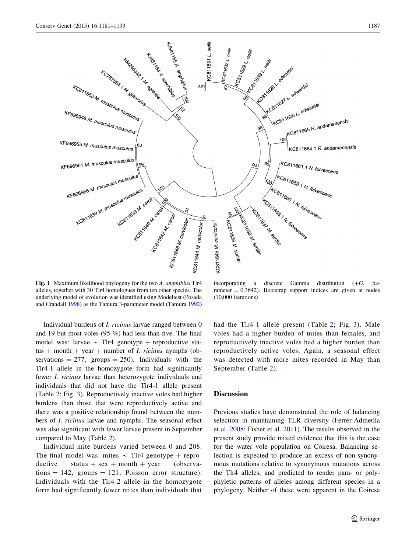<span id="page-6-0"></span>

Fig. 1 Maximum likelihood phylogeny for the two A. amphibius Tlr4 alleles, together with 30 Tlr4 homologues from ten other species. The underlying model of evolution was identified using Modeltest (Posada and Crandall [1998](#page-12-0)) as the Tamura 3-parameter model (Tamura [1992](#page-12-0))

Individual burdens of I. ricinus larvae ranged between 0 and 19 but most voles (95 %) had less than five. The final model was: larvae  $\sim$  Tlr4 genotype + reproductive status  $+$  month  $+$  year  $+$  number of *I. ricinus* nymphs (observations  $= 277$ , groups  $= 250$ ). Individuals with the Tlr4-1 allele in the homozygote form had significantly fewer *I. ricinus* larvae than heterozygote individuals and individuals that did not have the Tlr4-1 allele present (Table [2](#page-8-0); Fig. [3](#page-9-0)). Reproductively inactive voles had higher burdens than those that were reproductively active and there was a positive relationship found between the numbers of I. ricinus larvae and nymphs. The seasonal effect was also significant with fewer larvae present in September compared to May (Table [2](#page-8-0)).

Individual mite burdens varied between 0 and 208. The final model was: mites  $\sim$  Tlr4 genotype + reproductive status  $+$  sex  $+$  month  $+$  year (observations = 142, groups = 121; Poisson error structure). Individuals with the Tlr4-2 allele in the homozygote form had significantly fewer mites than individuals that

incorporating a discrete Gamma distribution  $(+G, \text{pa-})$ rameter  $= 0.3642$ ). Bootstrap support indices are given at nodes (10,000 iterations)

had the Tlr4-1 allele present (Table [2;](#page-8-0) Fig. [3](#page-9-0)). Male voles had a higher burden of mites than females, and reproductively inactive voles had a higher burden than reproductively active voles. Again, a seasonal effect was detected with more mites recorded in May than September (Table [2\)](#page-8-0).

#### **Discussion**

Previous studies have demonstrated the role of balancing selection in maintaining TLR diversity (Ferrer-Admetlla et al. [2008](#page-11-0); Fisher et al. [2011\)](#page-11-0). The results observed in the present study provide mixed evidence that this is the case for the water vole population on Coiresa. Balancing selection is expected to produce an excess of non-synonymous mutations relative to synonymous mutations across the Tlr4 alleles, and predicted to render para- or polyphyletic patterns of alleles among different species in a phylogeny. Neither of these were apparent in the Coiresa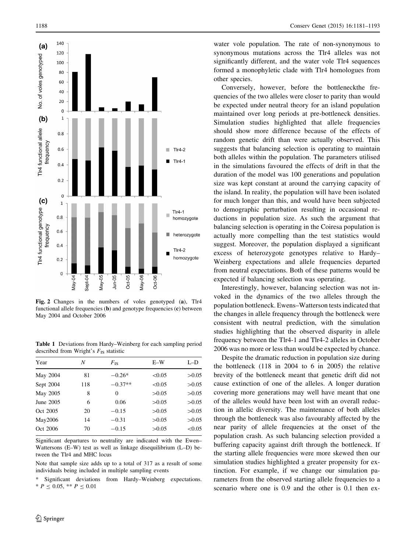<span id="page-7-0"></span>

Fig. 2 Changes in the numbers of voles genotyped (a), Tlr4 functional allele frequencies (b) and genotype frequencies (c) between May 2004 and October 2006

Table 1 Deviations from Hardy–Weinberg for each sampling period described from Wright's  $F_{IS}$  statistic

| Year      | N   | $F_{IS}$  | $E-W$  | L–D    |
|-----------|-----|-----------|--------|--------|
| May 2004  | 81  | $-0.26*$  | < 0.05 | >0.05  |
| Sept 2004 | 118 | $-0.37**$ | < 0.05 | >0.05  |
| May 2005  | 8   | $\Omega$  | >0.05  | >0.05  |
| June 2005 | 6   | 0.06      | >0.05  | >0.05  |
| Oct 2005  | 20  | $-0.15$   | >0.05  | >0.05  |
| May2006   | 14  | $-0.31$   | >0.05  | >0.05  |
| Oct 2006  | 70  | $-0.15$   | >0.05  | < 0.05 |

Significant departures to neutrality are indicated with the Ewen– Wattersons (E–W) test as well as linkage disequilibrium (L–D) between the Tlr4 and MHC locus

Note that sample size adds up to a total of 317 as a result of some individuals being included in multiple sampling events

Significant deviations from Hardy–Weinberg expectations. \*  $P \le 0.05$ , \*\*  $P \le 0.01$ 

water vole population. The rate of non-synonymous to synonymous mutations across the Tlr4 alleles was not significantly different, and the water vole Tlr4 sequences formed a monophyletic clade with Tlr4 homologues from other species.

Conversely, however, before the bottleneckthe frequencies of the two alleles were closer to parity than would be expected under neutral theory for an island population maintained over long periods at pre-bottleneck densities. Simulation studies highlighted that allele frequencies should show more difference because of the effects of random genetic drift than were actually observed. This suggests that balancing selection is operating to maintain both alleles within the population. The parameters utilised in the simulations favoured the effects of drift in that the duration of the model was 100 generations and population size was kept constant at around the carrying capacity of the island. In reality, the population will have been isolated for much longer than this, and would have been subjected to demographic perturbation resulting in occasional reductions in population size. As such the argument that balancing selection is operating in the Coiresa population is actually more compelling than the test statistics would suggest. Moreover, the population displayed a significant excess of heterozygote genotypes relative to Hardy– Weinberg expectations and allele frequencies departed from neutral expectations. Both of these patterns would be expected if balancing selection was operating.

Interestingly, however, balancing selection was not invoked in the dynamics of the two alleles through the population bottleneck. Ewens–Watterson tests indicated that the changes in allele frequency through the bottleneck were consistent with neutral prediction, with the simulation studies highlighting that the observed disparity in allele frequency between the Tlr4-1 and Tlr4-2 alleles in October 2006 was no more or less than would be expected by chance.

Despite the dramatic reduction in population size during the bottleneck (118 in 2004 to 6 in 2005) the relative brevity of the bottleneck meant that genetic drift did not cause extinction of one of the alleles. A longer duration covering more generations may well have meant that one of the alleles would have been lost with an overall reduction in allelic diversity. The maintenance of both alleles through the bottleneck was also favourably affected by the near parity of allele frequencies at the onset of the population crash. As such balancing selection provided a buffering capacity against drift through the bottleneck. If the starting allele frequencies were more skewed then our simulation studies highlighted a greater propensity for extinction. For example, if we change our simulation parameters from the observed starting allele frequencies to a scenario where one is 0.9 and the other is 0.1 then ex-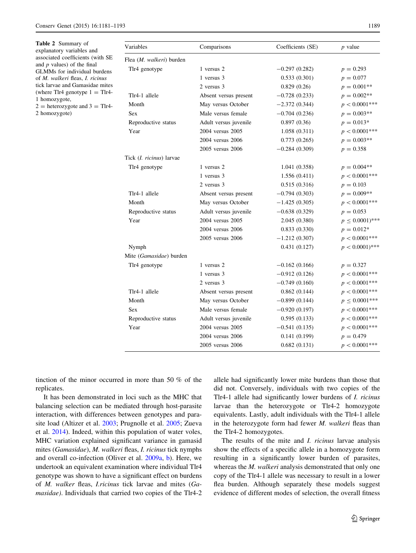<span id="page-8-0"></span>

| Table 2 Summary of<br>explanatory variables and<br>associated coefficients (with SE<br>and $p$ values) of the final<br>GLMMs for individual burdens<br>of M. walkeri fleas, I. ricinus<br>tick larvae and Gamasidae mites<br>(where Tlr4 genotype $1 = Tlr4$ -<br>1 homozygote,<br>$2 =$ heterozygote and $3 =$ Tlr4-<br>2 homozygote) | Variables                         | Comparisons           | Coefficients (SE) | $p$ value                      |  |  |
|----------------------------------------------------------------------------------------------------------------------------------------------------------------------------------------------------------------------------------------------------------------------------------------------------------------------------------------|-----------------------------------|-----------------------|-------------------|--------------------------------|--|--|
|                                                                                                                                                                                                                                                                                                                                        | Flea (M. walkeri) burden          |                       |                   |                                |  |  |
|                                                                                                                                                                                                                                                                                                                                        | Tlr4 genotype                     | 1 versus 2            | $-0.297(0.282)$   | $p = 0.293$                    |  |  |
|                                                                                                                                                                                                                                                                                                                                        |                                   | 1 versus 3            | 0.533(0.301)      | $p = 0.077$                    |  |  |
|                                                                                                                                                                                                                                                                                                                                        |                                   | 2 versus 3            | 0.829(0.26)       | $p = 0.001**$                  |  |  |
|                                                                                                                                                                                                                                                                                                                                        | Tlr4-1 allele                     | Absent versus present | $-0.728(0.233)$   | $p = 0.002**$                  |  |  |
|                                                                                                                                                                                                                                                                                                                                        | Month                             | May versus October    | $-2.372(0.344)$   | $p < 0.0001$ ***               |  |  |
|                                                                                                                                                                                                                                                                                                                                        | <b>Sex</b>                        | Male versus female    | $-0.704(0.236)$   | $p = 0.003**$                  |  |  |
|                                                                                                                                                                                                                                                                                                                                        | Reproductive status               | Adult versus juvenile | 0.897(0.36)       | $p = 0.013*$                   |  |  |
|                                                                                                                                                                                                                                                                                                                                        | Year                              | 2004 versus 2005      | 1.058(0.311)      | $p < 0.0001$ ***               |  |  |
|                                                                                                                                                                                                                                                                                                                                        |                                   | 2004 versus 2006      | 0.773(0.265)      | $p = 0.003**$                  |  |  |
|                                                                                                                                                                                                                                                                                                                                        |                                   | 2005 versus 2006      | $-0.284(0.309)$   | $p = 0.358$                    |  |  |
|                                                                                                                                                                                                                                                                                                                                        | Tick ( <i>I. ricinus</i> ) larvae |                       |                   |                                |  |  |
|                                                                                                                                                                                                                                                                                                                                        | Tlr4 genotype                     | 1 versus 2            | 1.041(0.358)      | $p = 0.004**$                  |  |  |
|                                                                                                                                                                                                                                                                                                                                        |                                   | 1 versus 3            | 1.556(0.411)      | $p < 0.0001***$                |  |  |
|                                                                                                                                                                                                                                                                                                                                        |                                   | 2 versus 3            | 0.515(0.316)      | $p = 0.103$                    |  |  |
|                                                                                                                                                                                                                                                                                                                                        | Tlr4-1 allele                     | Absent versus present | $-0.794(0.303)$   | $p = 0.009**$                  |  |  |
|                                                                                                                                                                                                                                                                                                                                        | Month                             | May versus October    | $-1.425(0.305)$   | $p < 0.0001$ ***               |  |  |
|                                                                                                                                                                                                                                                                                                                                        | Reproductive status               | Adult versus juvenile | $-0.638(0.329)$   | $p = 0.053$                    |  |  |
|                                                                                                                                                                                                                                                                                                                                        | Year                              | 2004 versus 2005      | 2.045 (0.380)     | $p \leq 0.0001$ <sup>***</sup> |  |  |
|                                                                                                                                                                                                                                                                                                                                        |                                   | 2004 versus 2006      | 0.833(0.330)      | $p = 0.012*$                   |  |  |
|                                                                                                                                                                                                                                                                                                                                        |                                   | 2005 versus 2006      | $-1.212(0.307)$   | $p < 0.0001$ ***               |  |  |
|                                                                                                                                                                                                                                                                                                                                        | Nymph                             |                       | 0.431(0.127)      | $p < 0.0001$ <sup>***</sup>    |  |  |
|                                                                                                                                                                                                                                                                                                                                        | Mite (Gamasidae) burden           |                       |                   |                                |  |  |
|                                                                                                                                                                                                                                                                                                                                        | Tlr4 genotype                     | 1 versus 2            | $-0.162(0.166)$   | $p = 0.327$                    |  |  |
|                                                                                                                                                                                                                                                                                                                                        |                                   | 1 versus 3            | $-0.912(0.126)$   | $p < 0.0001$ ***               |  |  |
|                                                                                                                                                                                                                                                                                                                                        |                                   | 2 versus 3            | $-0.749(0.160)$   | $p < 0.0001$ ***               |  |  |
|                                                                                                                                                                                                                                                                                                                                        | Tlr4-1 allele                     | Absent versus present | 0.862(0.144)      | $p < 0.0001$ ***               |  |  |
|                                                                                                                                                                                                                                                                                                                                        | Month                             | May versus October    | $-0.899(0.144)$   | $p \leq 0.0001$ ***            |  |  |
|                                                                                                                                                                                                                                                                                                                                        | Sex                               | Male versus female    | $-0.920(0.197)$   | $p < 0.0001$ ***               |  |  |
|                                                                                                                                                                                                                                                                                                                                        | Reproductive status               | Adult versus juvenile | 0.595(0.133)      | $p < 0.0001$ ***               |  |  |
|                                                                                                                                                                                                                                                                                                                                        | Year                              | 2004 versus 2005      | $-0.541(0.135)$   | $p < 0.0001$ ***               |  |  |
|                                                                                                                                                                                                                                                                                                                                        |                                   | 2004 versus 2006      | 0.141(0.199)      | $p = 0.479$                    |  |  |
|                                                                                                                                                                                                                                                                                                                                        |                                   | 2005 versus 2006      | 0.682(0.131)      | $p < 0.0001$ ***               |  |  |

tinction of the minor occurred in more than 50 % of the replicates.

It has been demonstrated in loci such as the MHC that balancing selection can be mediated through host-parasite interaction, with differences between genotypes and parasite load (Altizer et al. [2003;](#page-10-0) Prugnolle et al. [2005](#page-12-0); Zueva et al. [2014](#page-12-0)). Indeed, within this population of water voles, MHC variation explained significant variance in gamasid mites (Gamasidae), M. walkeri fleas, I. ricinus tick nymphs and overall co-infection (Oliver et al. [2009a](#page-11-0), [b](#page-11-0)). Here, we undertook an equivalent examination where individual Tlr4 genotype was shown to have a significant effect on burdens of M. walker fleas, I.ricinus tick larvae and mites (Gamasidae). Individuals that carried two copies of the Tlr4-2 allele had significantly lower mite burdens than those that did not. Conversely, individuals with two copies of the Tlr4-1 allele had significantly lower burdens of I. ricinus larvae than the heterozygote or Tlr4-2 homozygote equivalents. Lastly, adult individuals with the Tlr4-1 allele in the heterozygote form had fewer M. walkeri fleas than the Tlr4-2 homozygotes.

The results of the mite and *I. ricinus* larvae analysis show the effects of a specific allele in a homozygote form resulting in a significantly lower burden of parasites, whereas the *M. walkeri* analysis demonstrated that only one copy of the Tlr4-1 allele was necessary to result in a lower flea burden. Although separately these models suggest evidence of different modes of selection, the overall fitness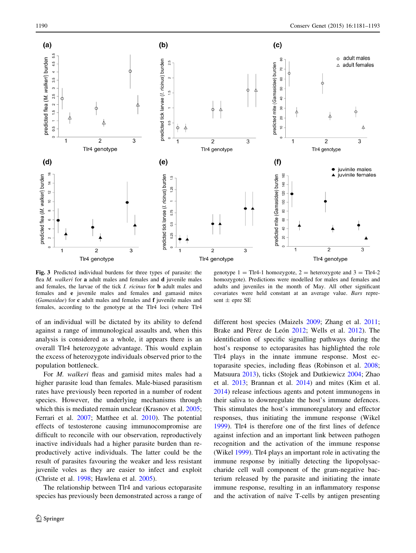<span id="page-9-0"></span>

Fig. 3 Predicted individual burdens for three types of parasite: the flea M. walkeri for a adult males and females and d juvenile males and females, the larvae of the tick I. ricinus for b adult males and females and e juvenile males and females and gamasid mites (Gamasidae) for c adult males and females and f juvenile males and females, according to the genotype at the Tlr4 loci (where Tlr4

genotype  $1 = \text{Thr4-1}$  homozygote,  $2 = \text{heterozygote}$  and  $3 = \text{Thr4-2}$ homozygote). Predictions were modelled for males and females and adults and juveniles in the month of May. All other significant covariates were held constant at an average value. Bars represent ± epre SE

of an individual will be dictated by its ability to defend against a range of immunological assaults and, when this analysis is considered as a whole, it appears there is an overall Tlr4 heterozygote advantage. This would explain the excess of heterozygote individuals observed prior to the population bottleneck.

For M. walkeri fleas and gamisid mites males had a higher parasite load than females. Male-biased parasitism rates have previously been reported in a number of rodent species. However, the underlying mechanisms through which this is mediated remain unclear (Krasnov et al. [2005](#page-11-0); Ferrari et al. [2007](#page-11-0); Matthee et al. [2010\)](#page-11-0). The potential effects of testosterone causing immunocompromise are difficult to reconcile with our observation, reproductively inactive individuals had a higher parasite burden than reproductively active individuals. The latter could be the result of parasites favouring the weaker and less resistant juvenile voles as they are easier to infect and exploit (Christe et al. [1998](#page-11-0); Hawlena et al. [2005\)](#page-11-0).

The relationship between Tlr4 and various ectoparasite species has previously been demonstrated across a range of different host species (Maizels [2009;](#page-11-0) Zhang et al. [2011](#page-12-0); Brake and Pèrez de León [2012](#page-11-0); Wells et al. [2012\)](#page-12-0). The identification of specific signalling pathways during the host's response to ectoparasites has highlighted the role Tlr4 plays in the innate immune response. Most ectoparasite species, including fleas (Robinson et al. [2008](#page-12-0); Matsuura [2013](#page-11-0)), ticks (Stojek and Dutkiewicz [2004;](#page-12-0) Zhao et al. [2013](#page-12-0); Brannan et al. [2014\)](#page-11-0) and mites (Kim et al. [2014](#page-11-0)) release infectious agents and potent immunogens in their saliva to downregulate the host's immune defences. This stimulates the host's immunoregulatory and effector responses, thus initiating the immune response (Wikel [1999](#page-12-0)). Tlr4 is therefore one of the first lines of defence against infection and an important link between pathogen recognition and the activation of the immune response (Wikel [1999](#page-12-0)). Tlr4 plays an important role in activating the immune response by initially detecting the lipopolysaccharide cell wall component of the gram-negative bacterium released by the parasite and initiating the innate immune response, resulting in an inflammatory response and the activation of naïve T-cells by antigen presenting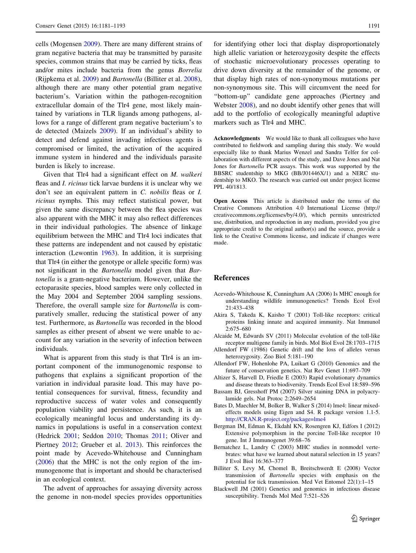<span id="page-10-0"></span>cells (Mogensen [2009\)](#page-11-0). There are many different strains of gram negative bacteria that may be transmitted by parasite species, common strains that may be carried by ticks, fleas and/or mites include bacteria from the genus Borrelia (Rijpkema et al. [2009](#page-12-0)) and Bartonella (Billiter et al. 2008), although there are many other potential gram negative bacterium's. Variation within the pathogen-recognition extracellular domain of the Tlr4 gene, most likely maintained by variations in TLR ligands among pathogens, allows for a range of different gram negative bacterium's to de detected (Maizels [2009\)](#page-11-0). If an individual's ability to detect and defend against invading infectious agents is compromised or limited, the activation of the acquired immune system in hindered and the individuals parasite burden is likely to increase.

Given that Tlr4 had a significant effect on M. walkeri fleas and *I. ricinus* tick larvae burdens it is unclear why we don't see an equivalent pattern in C. nobilis fleas or I. ricinus nymphs. This may reflect statistical power, but given the same discrepancy between the flea species was also apparent with the MHC it may also reflect differences in their individual pathologies. The absence of linkage equilibrium between the MHC and Tlr4 loci indicates that these patterns are independent and not caused by epistatic interaction (Lewontin [1963\)](#page-11-0). In addition, it is surprising that Tlr4 (in either the genotype or allele specific form) was not significant in the Bartonella model given that Bartonella is a gram-negative bacterium. However, unlike the ectoparasite species, blood samples were only collected in the May 2004 and September 2004 sampling sessions. Therefore, the overall sample size for Bartonella is comparatively smaller, reducing the statistical power of any test. Furthermore, as Bartonella was recorded in the blood samples as either present of absent we were unable to account for any variation in the severity of infection between individuals.

What is apparent from this study is that Tlr4 is an important component of the immunogenomic response to pathogens that explains a significant proportion of the variation in individual parasite load. This may have potential consequences for survival, fitness, fecundity and reproductive success of water voles and consequently population viability and persistence. As such, it is an ecologically meaningful locus and understanding its dynamics in populations is useful in a conservation context (Hedrick [2001](#page-11-0); Seddon [2010;](#page-12-0) Thomas [2011](#page-12-0); Oliver and Piertney [2012;](#page-11-0) Grueber et al. [2013\)](#page-11-0). This reinforces the point made by Acevedo-Whitehouse and Cunningham (2006) that the MHC is not the only region of the immunogenome that is important and should be characterised in an ecological context.

The advent of approaches for assaying diversity across the genome in non-model species provides opportunities for identifying other loci that display disproportionately high allelic variation or heterozygosity despite the effects of stochastic microevolutionary processes operating to drive down diversity at the remainder of the genome, or that display high rates of non-synonymous mutations per non-synonymous site. This will circumvent the need for ''bottom-up'' candidate gene approaches (Piertney and Webster [2008](#page-12-0)), and no doubt identify other genes that will add to the portfolio of ecologically meaningful adaptive markers such as Tlr4 and MHC.

Acknowledgments We would like to thank all colleagues who have contributed to fieldwork and sampling during this study. We would especially like to thank Marius Wenzel and Sandra Telfer for collaboration with different aspects of the study, and Dave Jones and Nat Jones for Bartonella PCR assays. This work was supported by the BBSRC studentship to MKG (BB/J01446X/1) and a NERC studentship to MKO. The research was carried out under project license PPL 40/1813.

Open Access This article is distributed under the terms of the Creative Commons Attribution 4.0 International License (http:// creativecommons.org/licenses/by/4.0/), which permits unrestricted use, distribution, and reproduction in any medium, provided you give appropriate credit to the original author(s) and the source, provide a link to the Creative Commons license, and indicate if changes were made.

## References

- Acevedo-Whitehouse K, Cunningham AA (2006) Is MHC enough for understanding wildlife immunogenetics? Trends Ecol Evol 21:433–438
- Akira S, Takeda K, Kaisho T (2001) Toll-like receptors: critical proteins linking innate and acquired immunity. Nat Immunol 2:675–680
- Alcaide M, Edwards SV (2011) Molecular evolution of the toll-like receptor multigene family in birds. Mol Biol Evol 28:1703–1715
- Allendorf FW (1986) Genetic drift and the loss of alleles versus heterozygosity. Zoo Biol 5:181–190
- Allendorf FW, Hohenlohe PA, Luikart G (2010) Genomics and the future of conservation genetics. Nat Rev Genet 11:697–709
- Altizer S, Harvell D, Friedle E (2003) Rapid evolutionary dynamics and disease threats to biodiversity. Trends Ecol Evol 18:589–596
- Bassam BJ, Gresshoff PM (2007) Silver staining DNA in polyacrylamide gels. Nat Protoc 2:2649–2654
- Bates D, Maechler M, Bolker B, Walker S (2014) lme4: linear mixedeffects models using Eigen and S4. R package version 1.1-5. <http://CRAN.R-project.org/package=lme4>
- Bergman IM, Edman K, Ekdahl KN, Rosengren KJ, Edfors I (2012) Extensive polymorphism in the porcine Toll-like receptor 10 gene. Int J Immunogenet 39:68–76
- Bernatchez L, Landry C (2003) MHC studies in nonmodel vertebrates: what have we learned about natural selection in 15 years? J Evol Biol 16:363–377
- Billiter S, Levy M, Chomel B, Breitschwerdt E (2008) Vector transmission of Bartonella species with emphasis on the potential for tick transmission. Med Vet Entomol 22(1):1–15
- Blackwell JM (2001) Genetics and genomics in infectious disease susceptibility. Trends Mol Med 7:521–526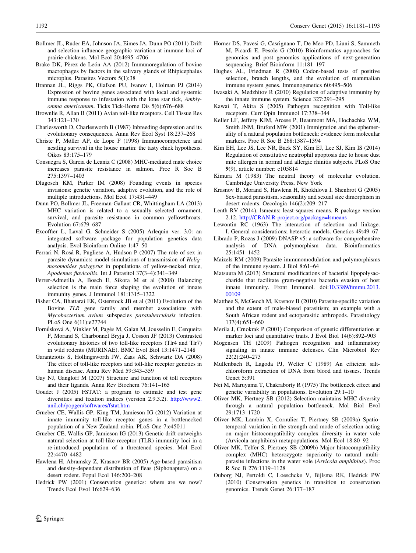- <span id="page-11-0"></span>Bollmer JL, Ruder EA, Johnson JA, Eimes JA, Dunn PO (2011) Drift and selection influence geographic variation at immune loci of prairie-chickens. Mol Ecol 20:4695–4706
- Brake DK, Pèrez de León AA (2012) Immunoregulation of bovine macrophages by factors in the salivary glands of Rhipicephalus microplus. Parasites Vectors 5(1):38
- Brannan JL, Riggs PK, Olafson PU, Ivanov I, Holman PJ (2014) Expression of bovine genes associated with local and systemic immune response to infestation with the lone star tick, Amblyomma americanum. Ticks Tick-Borne Dis 5(6):676–688
- Brownlie R, Allan B (2011) Avian toll-like receptors. Cell Tissue Res 343:121–130
- Charlesworth D, Charlesworth B (1987) Inbreeding depression and its evolutionary consequences. Annu Rev Ecol Syst 18:237–268
- Christe P, Møller AP, de Lope F (1998) Immunocompetence and nestling survival in the house martin: the tasty chick hypothesis. Oikos 83:175–179
- Consuegra S, Garcia de Leaniz C (2008) MHC-mediated mate choice increases parasite resistance in salmon. Proc R Soc B 275:1397–1403
- Dlugosch KM, Parker IM (2008) Founding events in species invasions: genetic variation, adaptive evolution, and the role of multiple introductions. Mol Ecol 17:431–449
- Dunn PO, Bollmer JL, Freeman-Gallant CR, Whittingham LA (2013) MHC variation is related to a sexually selected ornament, survival, and parasite resistance in common yellowthroats. Evolution 67:679–687
- Excoffier L, Laval G, Schneider S (2005) Arlequin ver. 3.0: an integrated software package for population genetics data analysis. Evol Bioinform Online 1:47–50
- Ferrari N, Rosá R, Pugliese A, Hudson P (2007) The role of sex in parasite dynamics: model simulations of transmission of Heligmosomoides polygyrus in populations of yellow-necked mice, Apodemus flavicollis. Int J Parasitol 37(3–4):341–349
- Ferrer-Admetlla A, Bosch E, Sikora M et al (2008) Balancing selection is the main force shaping the evolution of innate immunity genes. J Immunol 181:1315–1322
- Fisher CA, Bhattarai EK, Osterstock JB et al (2011) Evolution of the Bovine TLR gene family and member associations with Mycobacterium avium subspecies paratuberculosis infection. PLoS One 6(11):e27744
- Fornůsková A, Vinkler M, Pagès M, Galan M, Jousselin E, Cerqueira F, Morand S, Charbonnel Bryja J, Cosson JF (2013) Contrasted evolutionary histories of two toll-like receptors (Tlr4 and Tlr7) in wild rodents (MURINAE). BMC Evol Biol 13:1471–2148
- Garantziotis S, Hollingsworth JW, Zaas AK, Schwartz DA (2008) The effect of toll-like receptors and toll-like receptor genetics in human disease. Annu Rev Med 59:343–359
- Gay NJ, Gangloff M (2007) Structure and function of toll receptors and their ligands. Annu Rev Biochem 76:141–165
- Goudet J (2005) FSTAT: a program to estimate and test gene diversities and fixation indices (version 2.9.3.2). [http://www2.](http://www2.unil.ch/popgen/softwares/fstat.htm) [unil.ch/popgen/softwares/fstat.htm](http://www2.unil.ch/popgen/softwares/fstat.htm)
- Grueber CE, Wallis GP, King TM, Jamieson IG (2012) Variation at innate immunity toll-like receptor genes in a bottlenecked population of a New Zealand robin. PLoS One 7:e45011
- Grueber CE, Wallis GP, Jamieson IG (2013) Genetic drift outweighs natural selection at toll-like receptor (TLR) immunity loci in a re-introduced population of a threatened species. Mol Ecol 22:4470–4482
- Hawlena H, Abramsky Z, Krasnov BR (2005) Age-based parasitism and density-dependant distribution of fleas (Siphonaptera) on a desert rodent. Popul Ecol 146:200–208
- Hedrick PW (2001) Conservation genetics: where are we now? Trends Ecol Evol 16:629–636
- Horner DS, Pavesi G, Casrignano T, De Meo PD, Liuni S, Sammeth M, Picardi E, Pesole G (2010) Bioinformatics approaches for genomics and post genomics applications of next-generation sequencing. Brief Bioinform 11:181–197
- Hughes AL, Friedman R (2008) Codon-based tests of positive selection, branch lengths, and the evolution of mammalian immune system genes. Immunogenetics 60:495–506
- Iwasaki A, Medzhitov R (2010) Regulation of adaptive immunity by the innate immune system. Science 327:291–295
- Kawai T, Akira S (2005) Pathogen recognition with Toll-like receptors. Curr Opin Immunol 17:338–344
- Keller LF, Jeffery KJM, Arcese P, Beaumont MA, Hochachka WM, Smith JNM, Bruford MW (2001) Immigration and the ephemerality of a natural population bottleneck: evidence form molecular markers. Proc R Soc B 268:1387–1394
- Kim EH, Lee JS, Lee NR, Baek SY, Kim EJ, Lee SJ, Kim IS (2014) Regulation of constitutive neutrophil apoptosis due to house dust mite allergen in normal and allergic rhinitis subjects. PLoS One 9(9), article number: e105814
- Kimura M (1983) The neutral theory of molecular evolution. Cambridge University Press, New York
- Krasnov B, Morand S, Hawlena H, Khokhlova I, Shenbrot G (2005) Sex-biased parasitism, seasonality and sexual size dimorphism in desert rodents. Oecologia 146(2):209–217
- Lenth RV (2014). lsmeans: least-squares means. R package version 2.12. <http://CRAN.R-project.org/package=lsmeans>
- Lewontin RC (1963) The interaction of selection and linkage. I. General considerations; heterotic models. Genetics 49:49–67
- Librado P, Rozas J (2009) DNASP v5: a software for comprehensive analysis of DNA polymorphism data. Bioinformatics 25:1451–1452
- Maizels RM (2009) Parasite immunomodulation and polymorphisms of the immune system. J Biol 8:61–64
- Matsuura M (2013) Structural modifications of bacterial lipopolysaccharide that facilitate gram-negative bacteria evasion of host innate immunity. Front Immunol. doi[:10.3389/fimmu.2013.](http://dx.doi.org/10.3389/fimmu.2013.00109) [00109](http://dx.doi.org/10.3389/fimmu.2013.00109)
- Matthee S, McGeoch M, Krasnov B (2010) Parasite-specific variation and the extent of male-biased parasitism; an example with a South African rodent and ectoparasitic arthropods. Parasitology 137(4):651–660
- Merila J, Crnokrak P (2001) Comparison of genetic differentiation at marker loci and quantitative traits. J Evol Biol 14(6):892–903
- Mogensen TH (2009) Pathogen recognition and inflammatory signaling in innate immune defenses. Clin Microbiol Rev 22(2):240–273
- Mullenbach R, Lagoda PJ, Welter C (1989) An efficient saltchloroform extraction of DNA from blood and tissues. Trends Genet 5:391
- Nei M, Maruyama T, Chakraborty R (1975) The bottleneck effect and genetic variability in populations. Evolution 29:1–10
- Oliver MK, Piertney SB (2012) Selection maintains MHC diversity through a natural population bottleneck. Mol Biol Evol 29:1713–1720
- Oliver MK, Lambin X, Cornulier T, Piertney SB (2009a) Spatiotemporal variation in the strength and mode of selection acting on major histocompatibility complex diversity in water vole (Arvicola amphibius) metapopulations. Mol Ecol 18:80–92
- Oliver MK, Telfer S, Piertney SB (2009b) Major histocompatibility complex (MHC) heterozygote superiority to natural multiparasite infections in the water vole (Arvicola amphibius). Proc R Soc B 276:1119–1128
- Ouborg NJ, Pertoldi C, Loeschcke V, Bijlsma RK, Hedrick PW (2010) Conservation genetics in transition to conservation genomics. Trends Genet 26:177–187